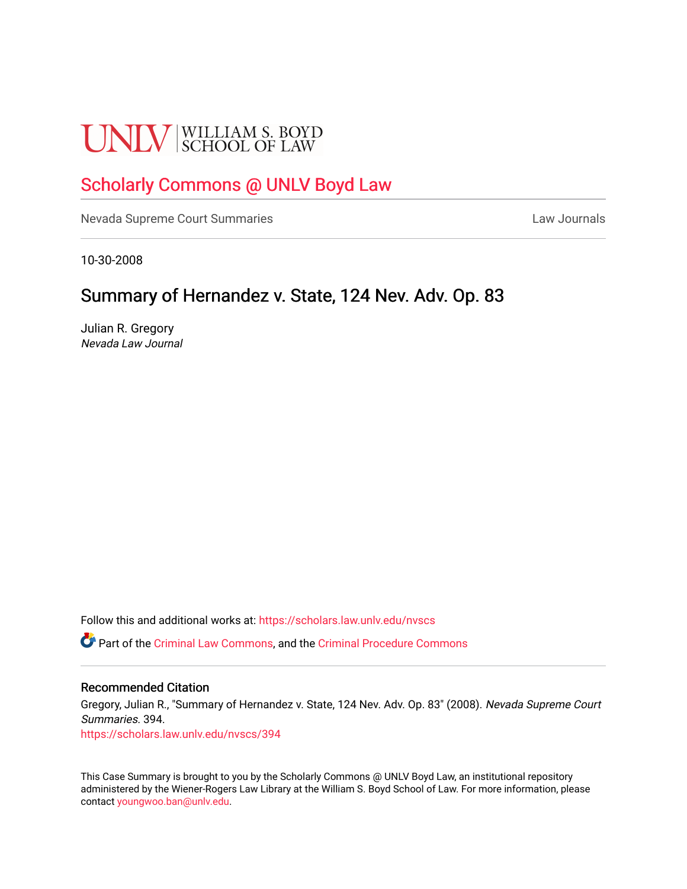# **UNLV** SCHOOL OF LAW

## [Scholarly Commons @ UNLV Boyd Law](https://scholars.law.unlv.edu/)

[Nevada Supreme Court Summaries](https://scholars.law.unlv.edu/nvscs) **Law Journals** Law Journals

10-30-2008

## Summary of Hernandez v. State, 124 Nev. Adv. Op. 83

Julian R. Gregory Nevada Law Journal

Follow this and additional works at: [https://scholars.law.unlv.edu/nvscs](https://scholars.law.unlv.edu/nvscs?utm_source=scholars.law.unlv.edu%2Fnvscs%2F394&utm_medium=PDF&utm_campaign=PDFCoverPages)

Part of the [Criminal Law Commons,](http://network.bepress.com/hgg/discipline/912?utm_source=scholars.law.unlv.edu%2Fnvscs%2F394&utm_medium=PDF&utm_campaign=PDFCoverPages) and the [Criminal Procedure Commons](http://network.bepress.com/hgg/discipline/1073?utm_source=scholars.law.unlv.edu%2Fnvscs%2F394&utm_medium=PDF&utm_campaign=PDFCoverPages)

#### Recommended Citation

Gregory, Julian R., "Summary of Hernandez v. State, 124 Nev. Adv. Op. 83" (2008). Nevada Supreme Court Summaries. 394.

[https://scholars.law.unlv.edu/nvscs/394](https://scholars.law.unlv.edu/nvscs/394?utm_source=scholars.law.unlv.edu%2Fnvscs%2F394&utm_medium=PDF&utm_campaign=PDFCoverPages)

This Case Summary is brought to you by the Scholarly Commons @ UNLV Boyd Law, an institutional repository administered by the Wiener-Rogers Law Library at the William S. Boyd School of Law. For more information, please contact [youngwoo.ban@unlv.edu](mailto:youngwoo.ban@unlv.edu).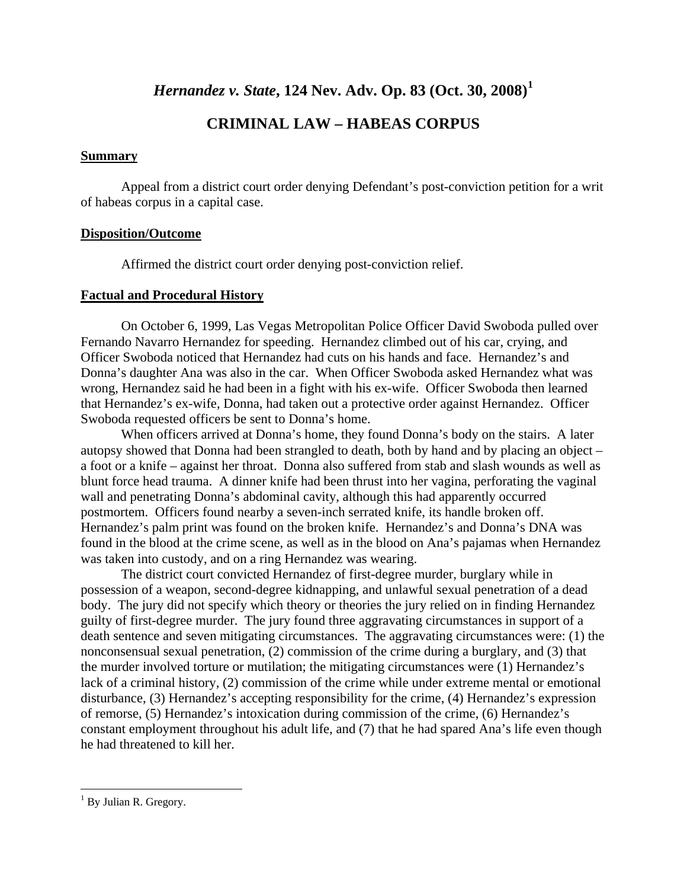## *Hernandez v. State***, 124 Nev. Adv. Op. 83 (Oct. 30, 2008)[1](#page-1-0)**

### **CRIMINAL LAW – HABEAS CORPUS**

#### **Summary**

 Appeal from a district court order denying Defendant's post-conviction petition for a writ of habeas corpus in a capital case.

#### **Disposition/Outcome**

Affirmed the district court order denying post-conviction relief.

#### **Factual and Procedural History**

 On October 6, 1999, Las Vegas Metropolitan Police Officer David Swoboda pulled over Fernando Navarro Hernandez for speeding. Hernandez climbed out of his car, crying, and Officer Swoboda noticed that Hernandez had cuts on his hands and face. Hernandez's and Donna's daughter Ana was also in the car. When Officer Swoboda asked Hernandez what was wrong, Hernandez said he had been in a fight with his ex-wife. Officer Swoboda then learned that Hernandez's ex-wife, Donna, had taken out a protective order against Hernandez. Officer Swoboda requested officers be sent to Donna's home.

 When officers arrived at Donna's home, they found Donna's body on the stairs. A later autopsy showed that Donna had been strangled to death, both by hand and by placing an object – a foot or a knife – against her throat. Donna also suffered from stab and slash wounds as well as blunt force head trauma. A dinner knife had been thrust into her vagina, perforating the vaginal wall and penetrating Donna's abdominal cavity, although this had apparently occurred postmortem. Officers found nearby a seven-inch serrated knife, its handle broken off. Hernandez's palm print was found on the broken knife. Hernandez's and Donna's DNA was found in the blood at the crime scene, as well as in the blood on Ana's pajamas when Hernandez was taken into custody, and on a ring Hernandez was wearing.

 The district court convicted Hernandez of first-degree murder, burglary while in possession of a weapon, second-degree kidnapping, and unlawful sexual penetration of a dead body. The jury did not specify which theory or theories the jury relied on in finding Hernandez guilty of first-degree murder. The jury found three aggravating circumstances in support of a death sentence and seven mitigating circumstances. The aggravating circumstances were: (1) the nonconsensual sexual penetration, (2) commission of the crime during a burglary, and (3) that the murder involved torture or mutilation; the mitigating circumstances were (1) Hernandez's lack of a criminal history, (2) commission of the crime while under extreme mental or emotional disturbance, (3) Hernandez's accepting responsibility for the crime, (4) Hernandez's expression of remorse, (5) Hernandez's intoxication during commission of the crime, (6) Hernandez's constant employment throughout his adult life, and (7) that he had spared Ana's life even though he had threatened to kill her.

 $\overline{a}$ 

<span id="page-1-0"></span> $<sup>1</sup>$  By Julian R. Gregory.</sup>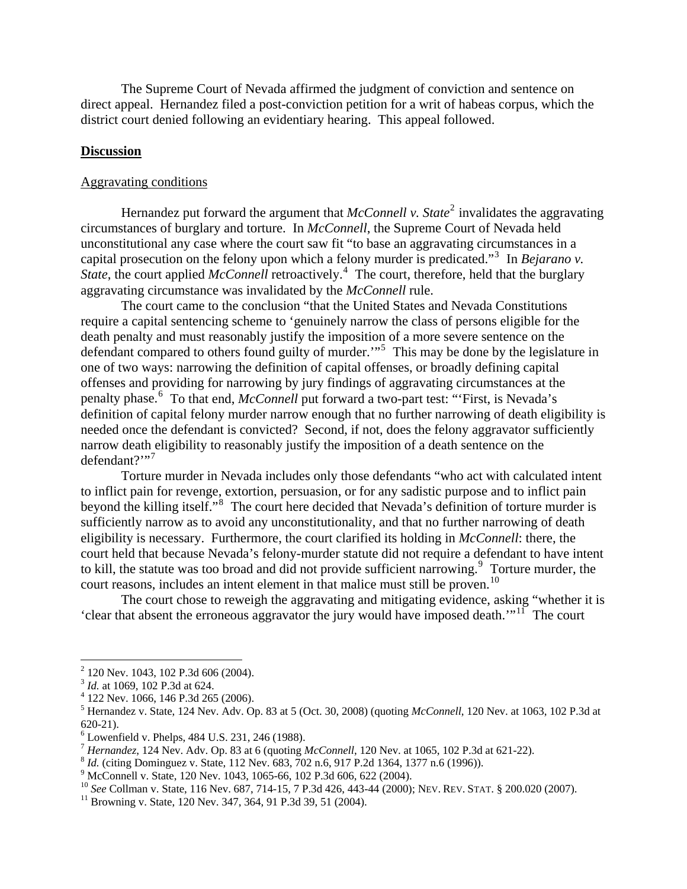The Supreme Court of Nevada affirmed the judgment of conviction and sentence on direct appeal. Hernandez filed a post-conviction petition for a writ of habeas corpus, which the district court denied following an evidentiary hearing. This appeal followed.

#### **Discussion**

#### Aggravating conditions

Hernandez put forward the argument that *McConnell v. State*<sup>[2](#page-2-0)</sup> invalidates the aggravating circumstances of burglary and torture. In *McConnell*, the Supreme Court of Nevada held unconstitutional any case where the court saw fit "to base an aggravating circumstances in a capital prosecution on the felony upon which a felony murder is predicated."<sup>[3](#page-2-1)</sup> In *Bejarano v*. State, the court applied *McConnell* retroactively.<sup>[4](#page-2-2)</sup> The court, therefore, held that the burglary aggravating circumstance was invalidated by the *McConnell* rule.

The court came to the conclusion "that the United States and Nevada Constitutions require a capital sentencing scheme to 'genuinely narrow the class of persons eligible for the death penalty and must reasonably justify the imposition of a more severe sentence on the defendant compared to others found guilty of murder."<sup>[5](#page-2-3)</sup> This may be done by the legislature in one of two ways: narrowing the definition of capital offenses, or broadly defining capital offenses and providing for narrowing by jury findings of aggravating circumstances at the penalty phase.<sup>[6](#page-2-4)</sup> To that end, *McConnell* put forward a two-part test: "First, is Nevada's definition of capital felony murder narrow enough that no further narrowing of death eligibility is needed once the defendant is convicted? Second, if not, does the felony aggravator sufficiently narrow death eligibility to reasonably justify the imposition of a death sentence on the  $defendant?$ <sup>"[7](#page-2-5)</sup>

Torture murder in Nevada includes only those defendants "who act with calculated intent to inflict pain for revenge, extortion, persuasion, or for any sadistic purpose and to inflict pain beyond the killing itself."<sup>[8](#page-2-6)</sup> The court here decided that Nevada's definition of torture murder is sufficiently narrow as to avoid any unconstitutionality, and that no further narrowing of death eligibility is necessary. Furthermore, the court clarified its holding in *McConnell*: there, the court held that because Nevada's felony-murder statute did not require a defendant to have intent to kill, the statute was too broad and did not provide sufficient narrowing. $\degree$  Torture murder, the court reasons, includes an intent element in that malice must still be proven.<sup>[10](#page-2-8)</sup>

The court chose to reweigh the aggravating and mitigating evidence, asking "whether it is 'clear that absent the erroneous aggravator the jury would have imposed death.'"[11](#page-2-9) The court

1

<sup>&</sup>lt;sup>2</sup> 120 Nev. 1043, 102 P.3d 606 (2004).

<span id="page-2-1"></span><span id="page-2-0"></span><sup>&</sup>lt;sup>3</sup> *Id.* at 1069, 102 P.3d at 624.

<span id="page-2-2"></span> <sup>122</sup> Nev. 1066, 146 P.3d 265 (2006).

<span id="page-2-3"></span><sup>5</sup> Hernandez v. State, 124 Nev. Adv. Op. 83 at 5 (Oct. 30, 2008) (quoting *McConnell*, 120 Nev. at 1063, 102 P.3d at 620-21).

<span id="page-2-4"></span><sup>6</sup> Lowenfield v. Phelps, 484 U.S. 231, 246 (1988).

<span id="page-2-5"></span><sup>&</sup>lt;sup>7</sup> *Hernandez*, 124 Nev. Adv. Op. 83 at 6 (quoting *McConnell*, 120 Nev. at 1065, 102 P.3d at 621-22). <sup>8</sup> *Id.* (citing Dominguez v. State, 112 Nev. 683, 702 n.6, 917 P.2d 1364, 1377 n.6 (1996)).

<span id="page-2-6"></span>

<span id="page-2-7"></span><sup>&</sup>lt;sup>9</sup> McConnell v. State, 120 Nev. 1043, 1065-66, 102 P.3d 606, 622 (2004).

<span id="page-2-8"></span><sup>&</sup>lt;sup>10</sup> *See* Collman v. State, 116 Nev. 687, 714-15, 7 P.3d 426, 443-44 (2000); NEV. REV. STAT. § 200.020 (2007).<br><sup>11</sup> Browning v. State, 120 Nev. 347, 364, 91 P.3d 39, 51 (2004).

<span id="page-2-9"></span>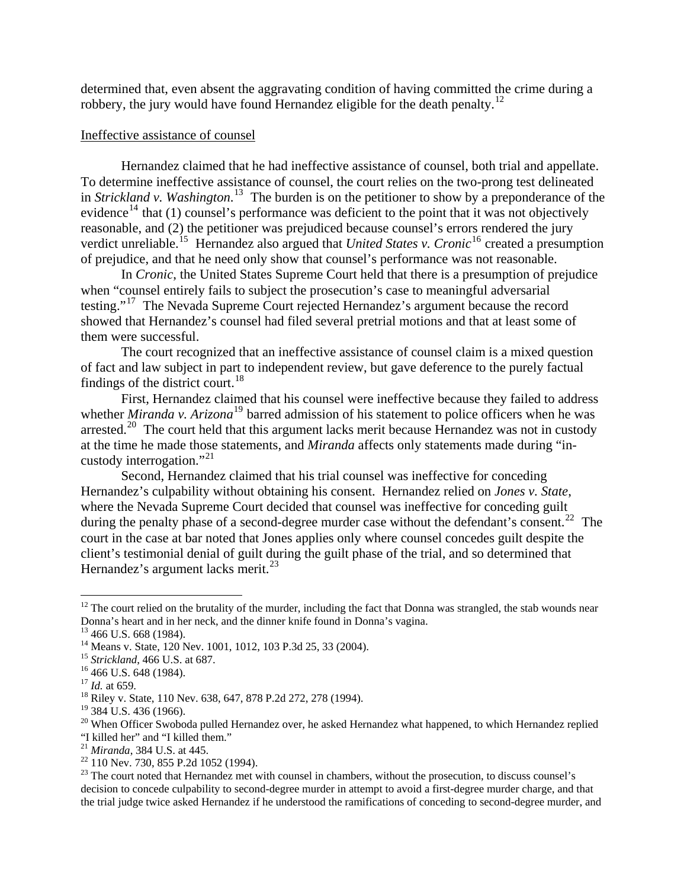determined that, even absent the aggravating condition of having committed the crime during a robbery, the jury would have found Hernandez eligible for the death penalty.<sup>[12](#page-3-0)</sup>

#### Ineffective assistance of counsel

 Hernandez claimed that he had ineffective assistance of counsel, both trial and appellate. To determine ineffective assistance of counsel, the court relies on the two-prong test delineated in *Strickland v. Washington*. [13](#page-3-1) The burden is on the petitioner to show by a preponderance of the evidence<sup>[14](#page-3-2)</sup> that (1) counsel's performance was deficient to the point that it was not objectively reasonable, and (2) the petitioner was prejudiced because counsel's errors rendered the jury verdict unreliable.<sup>[15](#page-3-3)</sup> Hernandez also argued that *United States v. Cronic*<sup>[16](#page-3-4)</sup> created a presumption of prejudice, and that he need only show that counsel's performance was not reasonable.

 In *Cronic*, the United States Supreme Court held that there is a presumption of prejudice when "counsel entirely fails to subject the prosecution's case to meaningful adversarial testing."[17](#page-3-5) The Nevada Supreme Court rejected Hernandez's argument because the record showed that Hernandez's counsel had filed several pretrial motions and that at least some of them were successful.

 The court recognized that an ineffective assistance of counsel claim is a mixed question of fact and law subject in part to independent review, but gave deference to the purely factual findings of the district court.<sup>[18](#page-3-6)</sup>

First, Hernandez claimed that his counsel were ineffective because they failed to address whether *Miranda v. Arizona*<sup>[19](#page-3-7)</sup> barred admission of his statement to police officers when he was arrested.<sup>[20](#page-3-8)</sup> The court held that this argument lacks merit because Hernandez was not in custody at the time he made those statements, and *Miranda* affects only statements made during "in-custody interrogation."<sup>[21](#page-3-9)</sup>

Second, Hernandez claimed that his trial counsel was ineffective for conceding Hernandez's culpability without obtaining his consent. Hernandez relied on *Jones v. State*, where the Nevada Supreme Court decided that counsel was ineffective for conceding guilt during the penalty phase of a second-degree murder case without the defendant's consent.<sup>[22](#page-3-10)</sup> The court in the case at bar noted that Jones applies only where counsel concedes guilt despite the client's testimonial denial of guilt during the guilt phase of the trial, and so determined that Hernandez's argument lacks merit. $^{23}$  $^{23}$  $^{23}$ 

 $\overline{a}$ 

<span id="page-3-0"></span> $12$  The court relied on the brutality of the murder, including the fact that Donna was strangled, the stab wounds near Donna's heart and in her neck, and the dinner knife found in Donna's vagina.

 $13$  466 U.S. 668 (1984).

<span id="page-3-2"></span><span id="page-3-1"></span><sup>&</sup>lt;sup>14</sup> Means v. State, 120 Nev. 1001, 1012, 103 P.3d 25, 33 (2004).

<span id="page-3-4"></span><span id="page-3-3"></span><sup>&</sup>lt;sup>15</sup> *Strickland*, 466 U.S. at 687.<br><sup>16</sup> 466 U.S. 648 (1984).<br><sup>17</sup> *Id.* at 659.

<span id="page-3-6"></span><span id="page-3-5"></span><sup>&</sup>lt;sup>18</sup> Riley v. State, 110 Nev. 638, 647, 878 P.2d 272, 278 (1994).

<sup>&</sup>lt;sup>19</sup> 384 U.S. 436 (1966).

<span id="page-3-8"></span><span id="page-3-7"></span><sup>&</sup>lt;sup>20</sup> When Officer Swoboda pulled Hernandez over, he asked Hernandez what happened, to which Hernandez replied "I killed her" and "I killed them."<br><sup>21</sup> Miranda, 384 U.S. at 445.

<span id="page-3-10"></span><span id="page-3-9"></span><sup>&</sup>lt;sup>22</sup> 110 Nev. 730, 855 P.2d 1052 (1994).

<span id="page-3-11"></span><sup>&</sup>lt;sup>23</sup> The court noted that Hernandez met with counsel in chambers, without the prosecution, to discuss counsel's decision to concede culpability to second-degree murder in attempt to avoid a first-degree murder charge, and that the trial judge twice asked Hernandez if he understood the ramifications of conceding to second-degree murder, and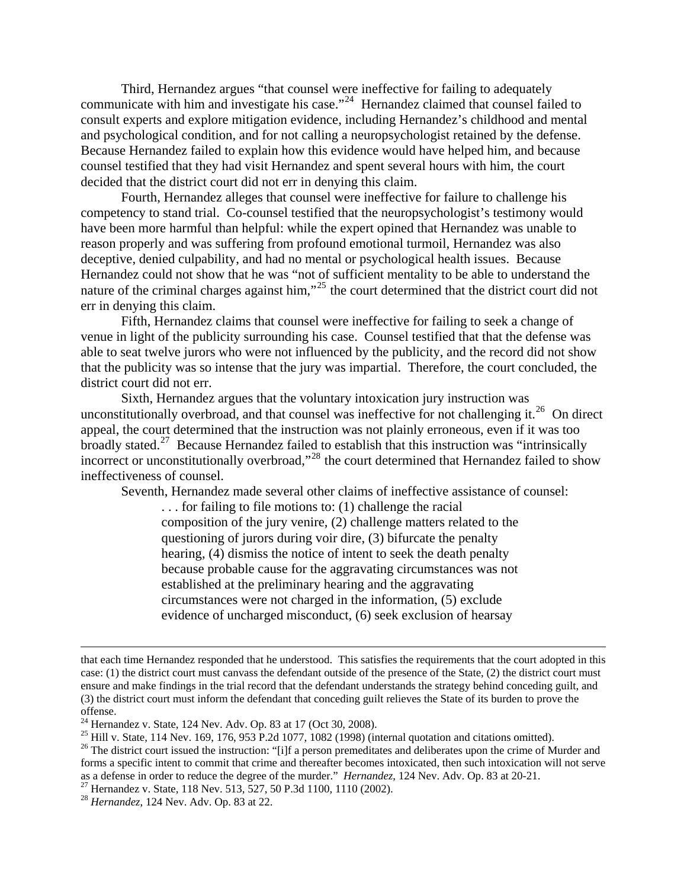Third, Hernandez argues "that counsel were ineffective for failing to adequately communicate with him and investigate his case."<sup>[24](#page-4-0)</sup> Hernandez claimed that counsel failed to consult experts and explore mitigation evidence, including Hernandez's childhood and mental and psychological condition, and for not calling a neuropsychologist retained by the defense. Because Hernandez failed to explain how this evidence would have helped him, and because counsel testified that they had visit Hernandez and spent several hours with him, the court decided that the district court did not err in denying this claim.

Fourth, Hernandez alleges that counsel were ineffective for failure to challenge his competency to stand trial. Co-counsel testified that the neuropsychologist's testimony would have been more harmful than helpful: while the expert opined that Hernandez was unable to reason properly and was suffering from profound emotional turmoil, Hernandez was also deceptive, denied culpability, and had no mental or psychological health issues. Because Hernandez could not show that he was "not of sufficient mentality to be able to understand the nature of the criminal charges against him,"<sup>[25](#page-4-1)</sup> the court determined that the district court did not err in denying this claim.

Fifth, Hernandez claims that counsel were ineffective for failing to seek a change of venue in light of the publicity surrounding his case. Counsel testified that that the defense was able to seat twelve jurors who were not influenced by the publicity, and the record did not show that the publicity was so intense that the jury was impartial. Therefore, the court concluded, the district court did not err.

Sixth, Hernandez argues that the voluntary intoxication jury instruction was unconstitutionally overbroad, and that counsel was ineffective for not challenging it.<sup>[26](#page-4-2)</sup> On direct appeal, the court determined that the instruction was not plainly erroneous, even if it was too broadly stated.<sup>[27](#page-4-3)</sup> Because Hernandez failed to establish that this instruction was "intrinsically incorrect or unconstitutionally overbroad,"<sup>[28](#page-4-4)</sup> the court determined that Hernandez failed to show ineffectiveness of counsel.

Seventh, Hernandez made several other claims of ineffective assistance of counsel:

. . . for failing to file motions to: (1) challenge the racial composition of the jury venire, (2) challenge matters related to the questioning of jurors during voir dire, (3) bifurcate the penalty hearing, (4) dismiss the notice of intent to seek the death penalty because probable cause for the aggravating circumstances was not established at the preliminary hearing and the aggravating circumstances were not charged in the information, (5) exclude evidence of uncharged misconduct, (6) seek exclusion of hearsay

that each time Hernandez responded that he understood. This satisfies the requirements that the court adopted in this case: (1) the district court must canvass the defendant outside of the presence of the State, (2) the district court must ensure and make findings in the trial record that the defendant understands the strategy behind conceding guilt, and (3) the district court must inform the defendant that conceding guilt relieves the State of its burden to prove the offense.

<span id="page-4-0"></span><sup>&</sup>lt;sup>24</sup> Hernandez v. State, 124 Nev. Adv. Op. 83 at 17 (Oct 30, 2008).

<span id="page-4-1"></span><sup>&</sup>lt;sup>25</sup> Hill v. State, 114 Nev. 169, 176, 953 P.2d 1077, 1082 (1998) (internal quotation and citations omitted).

<span id="page-4-2"></span><sup>&</sup>lt;sup>26</sup> The district court issued the instruction: "[i]f a person premeditates and deliberates upon the crime of Murder and forms a specific intent to commit that crime and thereafter becomes intoxicated, then such intoxication will not serve as a defense in order to reduce the degree of the murder." *Hernandez*, 124 Nev. Adv. Op. 83 at 20-21. 27 Hernandez v. State, 118 Nev. 513, 527, 50 P.3d 1100, 1110 (2002).

<span id="page-4-3"></span>

<span id="page-4-4"></span><sup>28</sup> *Hernandez*, 124 Nev. Adv. Op. 83 at 22.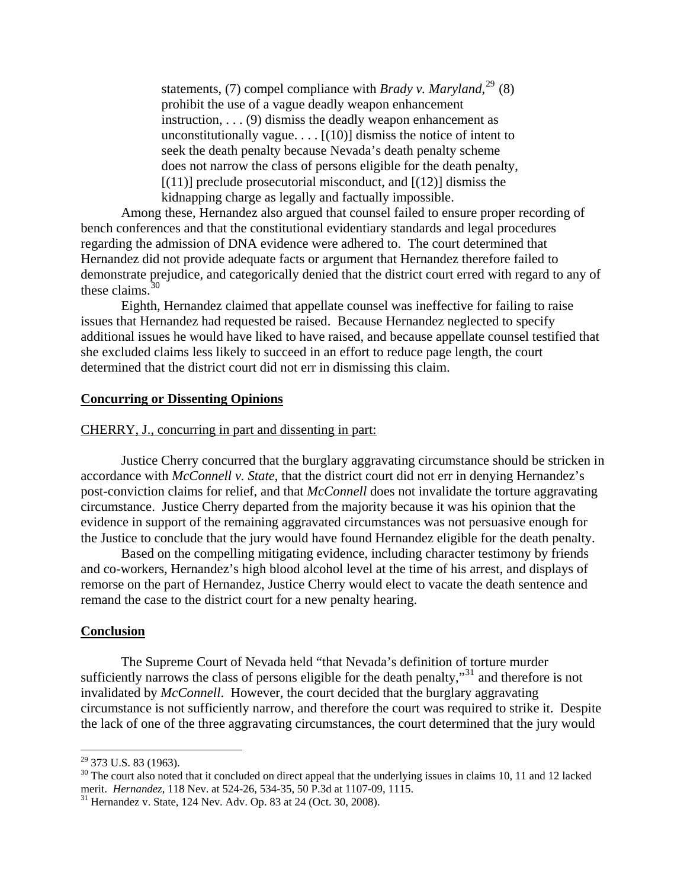statements, (7) compel compliance with *Brady v. Maryland*,<sup>[29](#page-5-0)</sup> (8) prohibit the use of a vague deadly weapon enhancement instruction, . . . (9) dismiss the deadly weapon enhancement as unconstitutionally vague.  $\ldots$  [(10)] dismiss the notice of intent to seek the death penalty because Nevada's death penalty scheme does not narrow the class of persons eligible for the death penalty, [(11)] preclude prosecutorial misconduct, and [(12)] dismiss the kidnapping charge as legally and factually impossible.

 Among these, Hernandez also argued that counsel failed to ensure proper recording of bench conferences and that the constitutional evidentiary standards and legal procedures regarding the admission of DNA evidence were adhered to. The court determined that Hernandez did not provide adequate facts or argument that Hernandez therefore failed to demonstrate prejudice, and categorically denied that the district court erred with regard to any of these claims.  $30<sup>30</sup>$  $30<sup>30</sup>$ 

 Eighth, Hernandez claimed that appellate counsel was ineffective for failing to raise issues that Hernandez had requested be raised. Because Hernandez neglected to specify additional issues he would have liked to have raised, and because appellate counsel testified that she excluded claims less likely to succeed in an effort to reduce page length, the court determined that the district court did not err in dismissing this claim.

#### **Concurring or Dissenting Opinions**

#### CHERRY, J., concurring in part and dissenting in part:

 Justice Cherry concurred that the burglary aggravating circumstance should be stricken in accordance with *McConnell v. State*, that the district court did not err in denying Hernandez's post-conviction claims for relief, and that *McConnell* does not invalidate the torture aggravating circumstance. Justice Cherry departed from the majority because it was his opinion that the evidence in support of the remaining aggravated circumstances was not persuasive enough for the Justice to conclude that the jury would have found Hernandez eligible for the death penalty.

Based on the compelling mitigating evidence, including character testimony by friends and co-workers, Hernandez's high blood alcohol level at the time of his arrest, and displays of remorse on the part of Hernandez, Justice Cherry would elect to vacate the death sentence and remand the case to the district court for a new penalty hearing.

#### **Conclusion**

 The Supreme Court of Nevada held "that Nevada's definition of torture murder sufficiently narrows the class of persons eligible for the death penalty,"<sup>[31](#page-5-2)</sup> and therefore is not invalidated by *McConnell*. However, the court decided that the burglary aggravating circumstance is not sufficiently narrow, and therefore the court was required to strike it. Despite the lack of one of the three aggravating circumstances, the court determined that the jury would

 $\overline{a}$ 

 $29$  373 U.S. 83 (1963).

<span id="page-5-1"></span><span id="page-5-0"></span> $30$  The court also noted that it concluded on direct appeal that the underlying issues in claims 10, 11 and 12 lacked merit. *Hernandez*, 118 Nev. at 524-26, 534-35, 50 P.3d at 1107-09, 1115.<br><sup>31</sup> Hernandez v. State, 124 Nev. Adv. Op. 83 at 24 (Oct. 30, 2008).

<span id="page-5-2"></span>